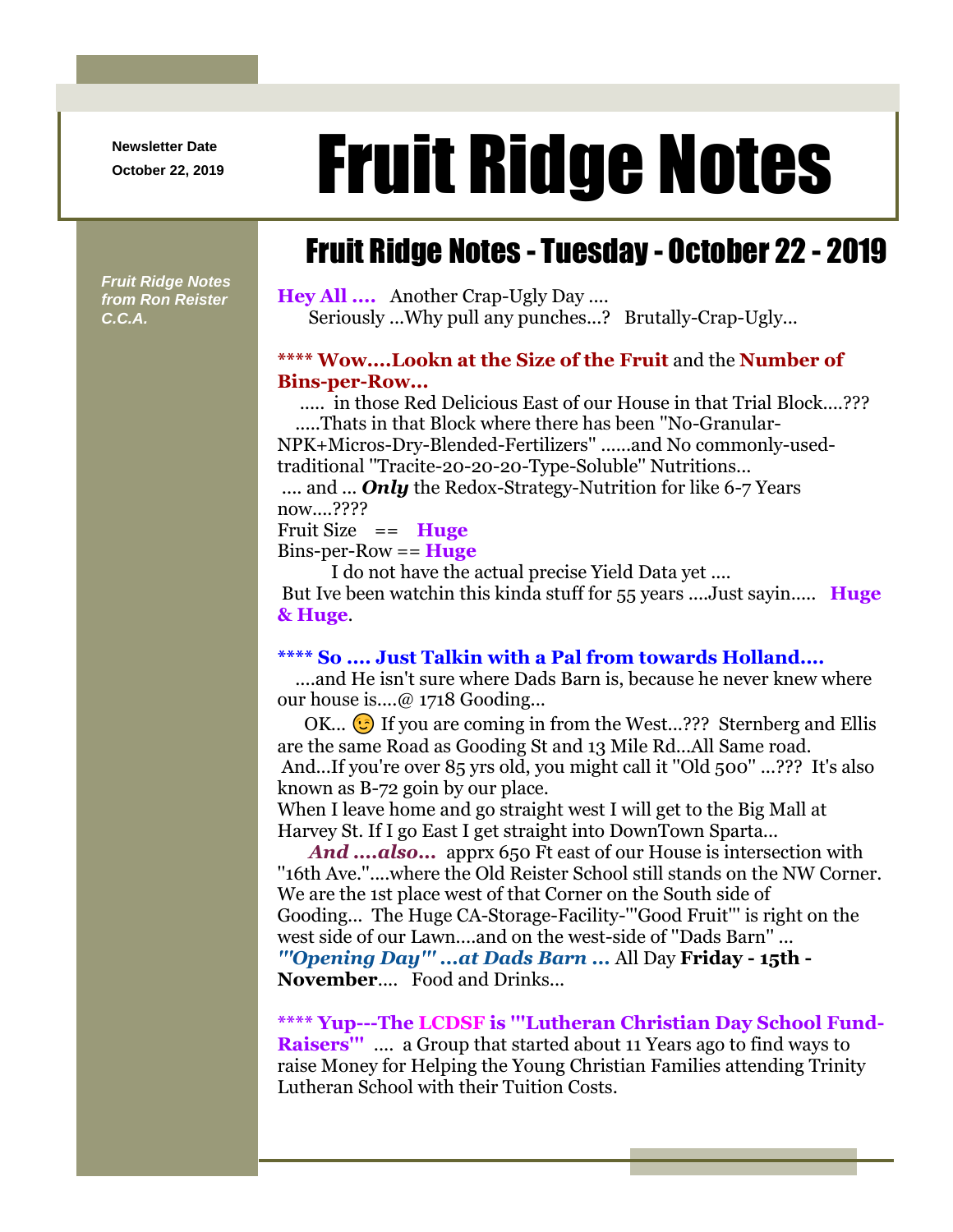**Newsletter Date**

# Newsletter Date **Fruit Ridge Notes**

## Fruit Ridge Notes - Tuesday - October 22 - 2019

*Fruit Ridge Notes from Ron Reister C.C.A.*

**Hey All ....** Another Crap-Ugly Day .... Seriously ...Why pull any punches...? Brutally-Crap-Ugly...

#### **\*\*\*\* Wow....Lookn at the Size of the Fruit** and the **Number of Bins-per-Row...**

..... in those Red Delicious East of our House in that Trial Block....??? .....Thats in that Block where there has been ''No-Granular-

NPK+Micros-Dry-Blended-Fertilizers'' ......and No commonly-usedtraditional ''Tracite-20-20-20-Type-Soluble'' Nutritions...

.... and ... **Only** the Redox-Strategy-Nutrition for like 6-7 Years now....????

Fruit Size == **Huge**

Bins-per-Row == **Huge**

I do not have the actual precise Yield Data yet .... But Ive been watchin this kinda stuff for 55 years ....Just sayin..... **Huge & Huge**.

#### **\*\*\*\* So .... Just Talkin with a Pal from towards Holland....**

....and He isn't sure where Dads Barn is, because he never knew where our house is....@ 1718 Gooding...

OK...  $\odot$  If you are coming in from the West...??? Sternberg and Ellis are the same Road as Gooding St and 13 Mile Rd...All Same road. And...If you're over 85 yrs old, you might call it ''Old 500'' ...??? It's also known as B-72 goin by our place.

When I leave home and go straight west I will get to the Big Mall at Harvey St. If I go East I get straight into DownTown Sparta...

*And ....also...* apprx 650 Ft east of our House is intersection with ''16th Ave.''....where the Old Reister School still stands on the NW Corner. We are the 1st place west of that Corner on the South side of Gooding... The Huge CA-Storage-Facility-'''Good Fruit''' is right on the west side of our Lawn....and on the west-side of ''Dads Barn'' ... *'''Opening Day''' ...at Dads Barn ...* All Day **Friday - 15th - November**.... Food and Drinks...

**\*\*\*\* Yup---The LCDSF is '''Lutheran Christian Day School Fund-**

**Raisers'''** .... a Group that started about 11 Years ago to find ways to raise Money for Helping the Young Christian Families attending Trinity Lutheran School with their Tuition Costs.